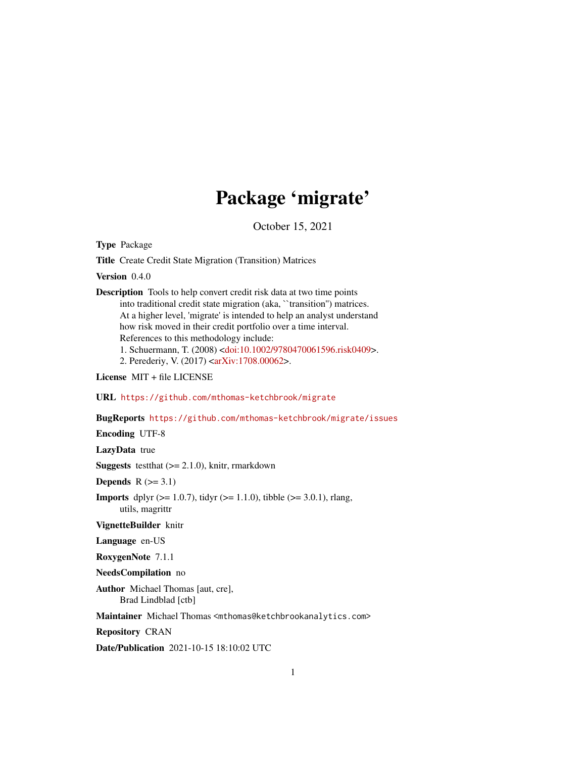## Package 'migrate'

October 15, 2021

Type Package

Title Create Credit State Migration (Transition) Matrices

Version 0.4.0

Description Tools to help convert credit risk data at two time points into traditional credit state migration (aka, ``transition'') matrices. At a higher level, 'migrate' is intended to help an analyst understand how risk moved in their credit portfolio over a time interval. References to this methodology include:

1. Schuermann, T. (2008) [<doi:10.1002/9780470061596.risk0409>](https://doi.org/10.1002/9780470061596.risk0409).

2. Perederiy, V. (2017) [<arXiv:1708.00062>](https://arxiv.org/abs/1708.00062).

License MIT + file LICENSE

URL <https://github.com/mthomas-ketchbrook/migrate>

BugReports <https://github.com/mthomas-ketchbrook/migrate/issues>

Encoding UTF-8

LazyData true

**Suggests** testthat  $(>= 2.1.0)$ , knitr, rmarkdown

Depends  $R$  ( $>= 3.1$ )

**Imports** dplyr ( $>= 1.0.7$ ), tidyr ( $>= 1.1.0$ ), tibble ( $>= 3.0.1$ ), rlang, utils, magrittr

VignetteBuilder knitr

Language en-US

RoxygenNote 7.1.1

NeedsCompilation no

Author Michael Thomas [aut, cre], Brad Lindblad [ctb]

Maintainer Michael Thomas <mthomas@ketchbrookanalytics.com>

Repository CRAN

Date/Publication 2021-10-15 18:10:02 UTC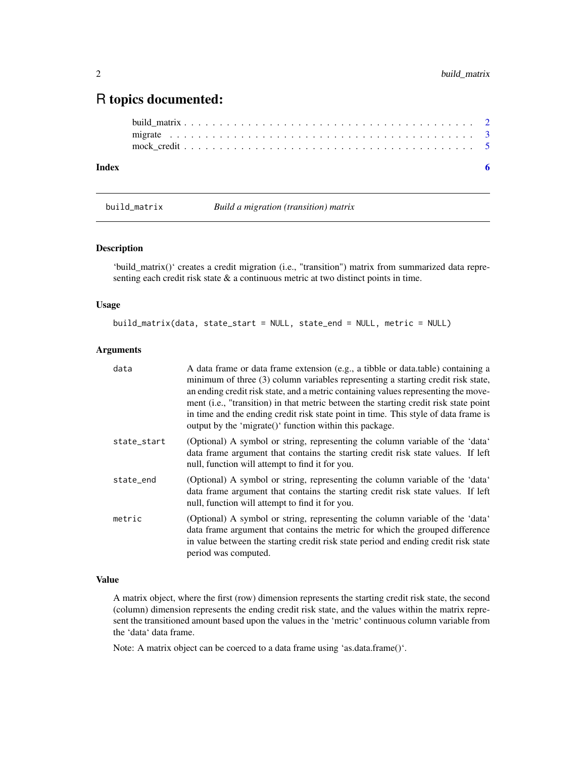### <span id="page-1-0"></span>R topics documented:

```
build_matrix . . . . . . . . . . . . . . . . . . . . . . . . . . . . . . . . . . . . . . . . . 2
      migrate . . . . . . . . . . . . . . . . . . . . . . . . . . . . . . . . . . . . . . . . . . . 3
      mock_credit . . . . . . . . . . . . . . . . . . . . . . . . . . . . . . . . . . . . . . . . . 5
Index6 6
```
build\_matrix *Build a migration (transition) matrix*

#### Description

'build\_matrix()' creates a credit migration (i.e., "transition") matrix from summarized data representing each credit risk state & a continuous metric at two distinct points in time.

#### Usage

build\_matrix(data, state\_start = NULL, state\_end = NULL, metric = NULL)

#### Arguments

| data        | A data frame or data frame extension (e.g., a tibble or data.table) containing a<br>minimum of three (3) column variables representing a starting credit risk state,<br>an ending credit risk state, and a metric containing values representing the move-<br>ment (i.e., "transition) in that metric between the starting credit risk state point<br>in time and the ending credit risk state point in time. This style of data frame is<br>output by the 'migrate()' function within this package. |
|-------------|------------------------------------------------------------------------------------------------------------------------------------------------------------------------------------------------------------------------------------------------------------------------------------------------------------------------------------------------------------------------------------------------------------------------------------------------------------------------------------------------------|
| state_start | (Optional) A symbol or string, representing the column variable of the 'data'<br>data frame argument that contains the starting credit risk state values. If left<br>null, function will attempt to find it for you.                                                                                                                                                                                                                                                                                 |
| state_end   | (Optional) A symbol or string, representing the column variable of the 'data'<br>data frame argument that contains the starting credit risk state values. If left<br>null, function will attempt to find it for you.                                                                                                                                                                                                                                                                                 |
| metric      | (Optional) A symbol or string, representing the column variable of the 'data'<br>data frame argument that contains the metric for which the grouped difference<br>in value between the starting credit risk state period and ending credit risk state<br>period was computed.                                                                                                                                                                                                                        |

#### Value

A matrix object, where the first (row) dimension represents the starting credit risk state, the second (column) dimension represents the ending credit risk state, and the values within the matrix represent the transitioned amount based upon the values in the 'metric' continuous column variable from the 'data' data frame.

Note: A matrix object can be coerced to a data frame using 'as.data.frame()'.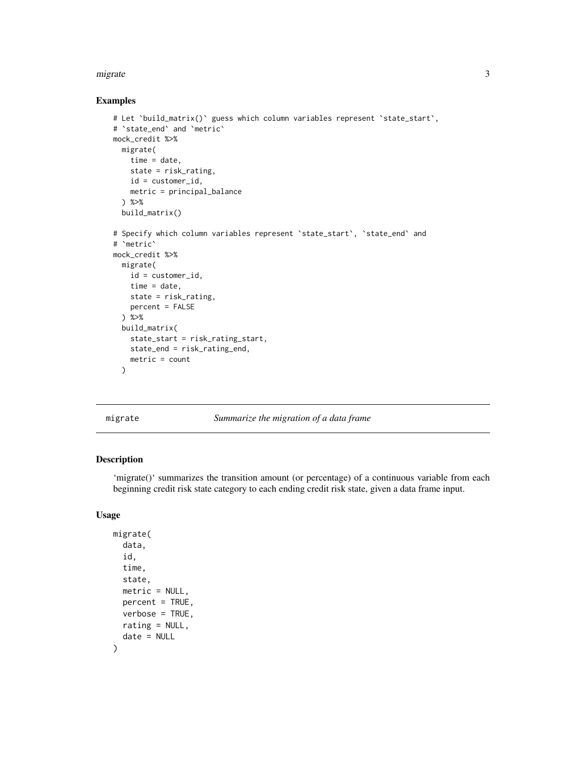#### <span id="page-2-0"></span>migrate 3

#### Examples

```
# Let `build_matrix()` guess which column variables represent `state_start`,
# `state_end` and `metric`
mock_credit %>%
 migrate(
   time = date,
   state = risk_rating,
   id = customer_id,
   metric = principal_balance
  ) %>%
  build_matrix()
# Specify which column variables represent `state_start`, `state_end` and
# `metric`
mock_credit %>%
 migrate(
   id = customer_id,
   time = date,
   state = risk_rating,
   percent = FALSE
  ) %>%
  build_matrix(
    state_start = risk_rating_start,
   state_end = risk_rating_end,
   metric = count
  )
```
migrate *Summarize the migration of a data frame*

#### Description

'migrate()' summarizes the transition amount (or percentage) of a continuous variable from each beginning credit risk state category to each ending credit risk state, given a data frame input.

#### Usage

```
migrate(
  data,
  id,
  time,
  state,
 metric = NULL,percent = TRUE,
 verbose = TRUE,
  rating = NULL,
  date = NULL
)
```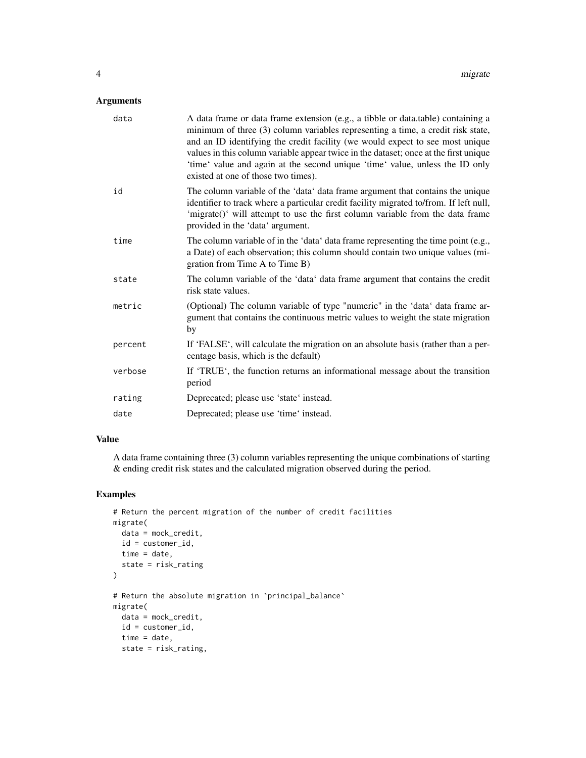#### Arguments

| data    | A data frame or data frame extension (e.g., a tibble or data.table) containing a<br>minimum of three (3) column variables representing a time, a credit risk state,<br>and an ID identifying the credit facility (we would expect to see most unique<br>values in this column variable appear twice in the dataset; once at the first unique<br>'time' value and again at the second unique 'time' value, unless the ID only<br>existed at one of those two times). |
|---------|---------------------------------------------------------------------------------------------------------------------------------------------------------------------------------------------------------------------------------------------------------------------------------------------------------------------------------------------------------------------------------------------------------------------------------------------------------------------|
| id      | The column variable of the 'data' data frame argument that contains the unique<br>identifier to track where a particular credit facility migrated to/from. If left null,<br>'migrate()' will attempt to use the first column variable from the data frame<br>provided in the 'data' argument.                                                                                                                                                                       |
| time    | The column variable of in the 'data' data frame representing the time point (e.g.,<br>a Date) of each observation; this column should contain two unique values (mi-<br>gration from Time A to Time B)                                                                                                                                                                                                                                                              |
| state   | The column variable of the 'data' data frame argument that contains the credit<br>risk state values.                                                                                                                                                                                                                                                                                                                                                                |
| metric  | (Optional) The column variable of type "numeric" in the 'data' data frame ar-<br>gument that contains the continuous metric values to weight the state migration<br>by                                                                                                                                                                                                                                                                                              |
| percent | If 'FALSE', will calculate the migration on an absolute basis (rather than a per-<br>centage basis, which is the default)                                                                                                                                                                                                                                                                                                                                           |
| verbose | If 'TRUE', the function returns an informational message about the transition<br>period                                                                                                                                                                                                                                                                                                                                                                             |
| rating  | Deprecated; please use 'state' instead.                                                                                                                                                                                                                                                                                                                                                                                                                             |
| date    | Deprecated; please use 'time' instead.                                                                                                                                                                                                                                                                                                                                                                                                                              |

#### Value

A data frame containing three (3) column variables representing the unique combinations of starting & ending credit risk states and the calculated migration observed during the period.

#### Examples

```
# Return the percent migration of the number of credit facilities
migrate(
  data = mock_credit,
 id = customer_id,
 time = date,
  state = risk_rating
\lambda# Return the absolute migration in `principal_balance`
migrate(
  data = mock_credit,
 id = customer_id,
 time = date,
  state = risk_rating,
```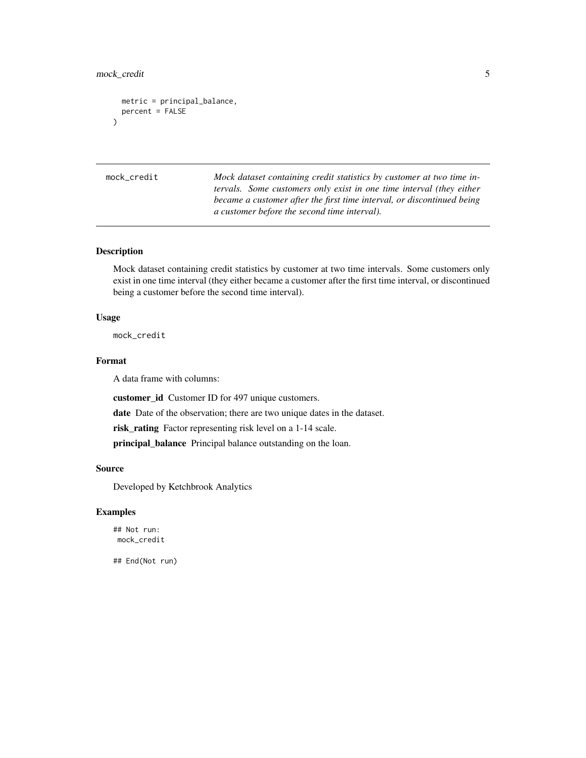#### <span id="page-4-0"></span>mock\_credit 5

```
metric = principal_balance,
 percent = FALSE
)
```
mock\_credit *Mock dataset containing credit statistics by customer at two time intervals. Some customers only exist in one time interval (they either became a customer after the first time interval, or discontinued being a customer before the second time interval).*

#### Description

Mock dataset containing credit statistics by customer at two time intervals. Some customers only exist in one time interval (they either became a customer after the first time interval, or discontinued being a customer before the second time interval).

#### Usage

mock\_credit

#### Format

A data frame with columns:

customer\_id Customer ID for 497 unique customers.

date Date of the observation; there are two unique dates in the dataset.

risk\_rating Factor representing risk level on a 1-14 scale.

principal\_balance Principal balance outstanding on the loan.

#### Source

Developed by Ketchbrook Analytics

#### Examples

## Not run: mock\_credit

## End(Not run)